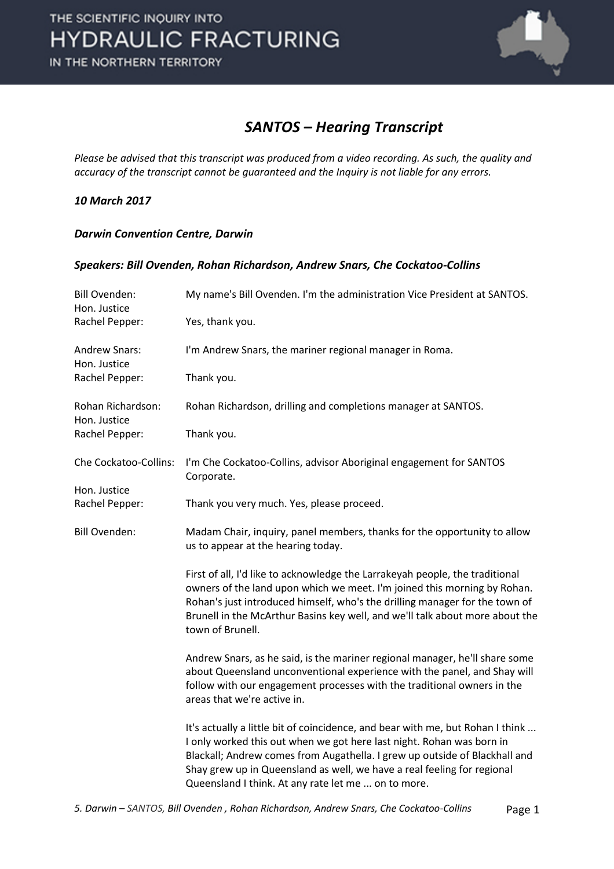

### *SANTOS – Hearing Transcript*

*Please be advised that this transcript was produced from a video recording. As such, the quality and accuracy of the transcript cannot be guaranteed and the Inquiry is not liable for any errors.*

### *10 March 2017*

### *Darwin Convention Centre, Darwin*

### *Speakers: Bill Ovenden, Rohan Richardson, Andrew Snars, Che Cockatoo-Collins*

| <b>Bill Ovenden:</b><br>Hon. Justice | My name's Bill Ovenden. I'm the administration Vice President at SANTOS.                                                                                                                                                                                                                                                                                                |
|--------------------------------------|-------------------------------------------------------------------------------------------------------------------------------------------------------------------------------------------------------------------------------------------------------------------------------------------------------------------------------------------------------------------------|
| Rachel Pepper:                       | Yes, thank you.                                                                                                                                                                                                                                                                                                                                                         |
| <b>Andrew Snars:</b><br>Hon. Justice | I'm Andrew Snars, the mariner regional manager in Roma.                                                                                                                                                                                                                                                                                                                 |
| Rachel Pepper:                       | Thank you.                                                                                                                                                                                                                                                                                                                                                              |
| Rohan Richardson:<br>Hon. Justice    | Rohan Richardson, drilling and completions manager at SANTOS.                                                                                                                                                                                                                                                                                                           |
| Rachel Pepper:                       | Thank you.                                                                                                                                                                                                                                                                                                                                                              |
| Che Cockatoo-Collins:                | I'm Che Cockatoo-Collins, advisor Aboriginal engagement for SANTOS<br>Corporate.                                                                                                                                                                                                                                                                                        |
| Hon. Justice<br>Rachel Pepper:       | Thank you very much. Yes, please proceed.                                                                                                                                                                                                                                                                                                                               |
| <b>Bill Ovenden:</b>                 | Madam Chair, inquiry, panel members, thanks for the opportunity to allow<br>us to appear at the hearing today.                                                                                                                                                                                                                                                          |
|                                      | First of all, I'd like to acknowledge the Larrakeyah people, the traditional<br>owners of the land upon which we meet. I'm joined this morning by Rohan.<br>Rohan's just introduced himself, who's the drilling manager for the town of<br>Brunell in the McArthur Basins key well, and we'll talk about more about the<br>town of Brunell.                             |
|                                      | Andrew Snars, as he said, is the mariner regional manager, he'll share some<br>about Queensland unconventional experience with the panel, and Shay will<br>follow with our engagement processes with the traditional owners in the<br>areas that we're active in.                                                                                                       |
|                                      | It's actually a little bit of coincidence, and bear with me, but Rohan I think<br>I only worked this out when we got here last night. Rohan was born in<br>Blackall; Andrew comes from Augathella. I grew up outside of Blackhall and<br>Shay grew up in Queensland as well, we have a real feeling for regional<br>Queensland I think. At any rate let me  on to more. |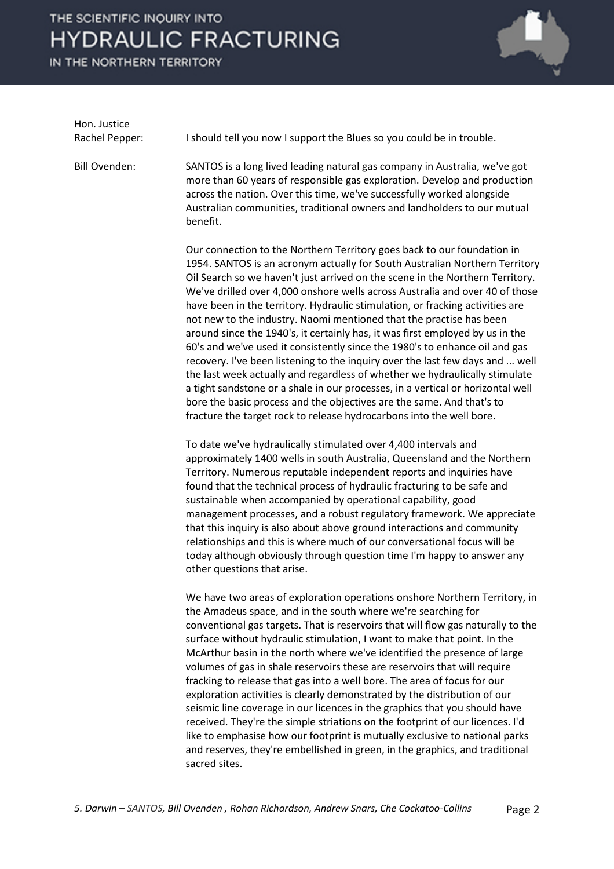IN THE NORTHERN TERRITORY



| Hon. Justice<br>Rachel Pepper: | I should tell you now I support the Blues so you could be in trouble.                                                                                                                                                                                                                                                                                                                                                                                                                                                                                                                                                                                                                                                                                                                                                                                                                                                                                                                                                                               |
|--------------------------------|-----------------------------------------------------------------------------------------------------------------------------------------------------------------------------------------------------------------------------------------------------------------------------------------------------------------------------------------------------------------------------------------------------------------------------------------------------------------------------------------------------------------------------------------------------------------------------------------------------------------------------------------------------------------------------------------------------------------------------------------------------------------------------------------------------------------------------------------------------------------------------------------------------------------------------------------------------------------------------------------------------------------------------------------------------|
| <b>Bill Ovenden:</b>           | SANTOS is a long lived leading natural gas company in Australia, we've got<br>more than 60 years of responsible gas exploration. Develop and production<br>across the nation. Over this time, we've successfully worked alongside<br>Australian communities, traditional owners and landholders to our mutual<br>benefit.                                                                                                                                                                                                                                                                                                                                                                                                                                                                                                                                                                                                                                                                                                                           |
|                                | Our connection to the Northern Territory goes back to our foundation in<br>1954. SANTOS is an acronym actually for South Australian Northern Territory<br>Oil Search so we haven't just arrived on the scene in the Northern Territory.<br>We've drilled over 4,000 onshore wells across Australia and over 40 of those<br>have been in the territory. Hydraulic stimulation, or fracking activities are<br>not new to the industry. Naomi mentioned that the practise has been<br>around since the 1940's, it certainly has, it was first employed by us in the<br>60's and we've used it consistently since the 1980's to enhance oil and gas<br>recovery. I've been listening to the inquiry over the last few days and  well<br>the last week actually and regardless of whether we hydraulically stimulate<br>a tight sandstone or a shale in our processes, in a vertical or horizontal well<br>bore the basic process and the objectives are the same. And that's to<br>fracture the target rock to release hydrocarbons into the well bore. |
|                                | To date we've hydraulically stimulated over 4,400 intervals and<br>approximately 1400 wells in south Australia, Queensland and the Northern<br>Territory. Numerous reputable independent reports and inquiries have<br>found that the technical process of hydraulic fracturing to be safe and<br>sustainable when accompanied by operational capability, good<br>management processes, and a robust regulatory framework. We appreciate<br>that this inquiry is also about above ground interactions and community<br>relationships and this is where much of our conversational focus will be<br>today although obviously through question time I'm happy to answer any<br>other questions that arise.                                                                                                                                                                                                                                                                                                                                            |
|                                | We have two areas of exploration operations onshore Northern Territory, in<br>the Amadeus space, and in the south where we're searching for<br>conventional gas targets. That is reservoirs that will flow gas naturally to the<br>surface without hydraulic stimulation, I want to make that point. In the<br>McArthur basin in the north where we've identified the presence of large<br>volumes of gas in shale reservoirs these are reservoirs that will require                                                                                                                                                                                                                                                                                                                                                                                                                                                                                                                                                                                |

*5. Darwin – SANTOS, Bill Ovenden , Rohan Richardson, Andrew Snars, Che Cockatoo-Collins* Page 2

sacred sites.

fracking to release that gas into a well bore. The area of focus for our exploration activities is clearly demonstrated by the distribution of our seismic line coverage in our licences in the graphics that you should have received. They're the simple striations on the footprint of our licences. I'd like to emphasise how our footprint is mutually exclusive to national parks and reserves, they're embellished in green, in the graphics, and traditional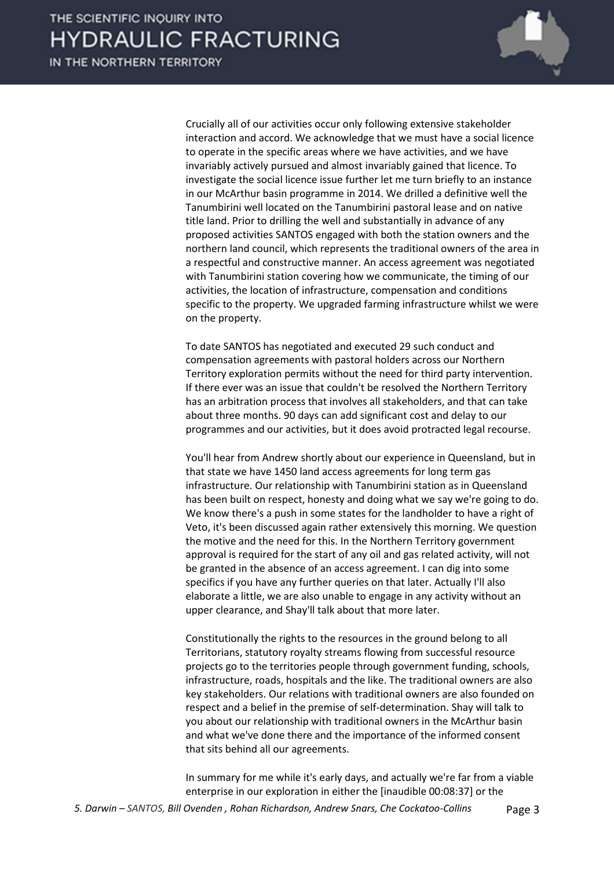

Crucially all of our activities occur only following extensive stakeholder interaction and accord. We acknowledge that we must have a social licence to operate in the specific areas where we have activities, and we have invariably actively pursued and almost invariably gained that licence. To investigate the social licence issue further let me turn briefly to an instance in our McArthur basin programme in 2014. We drilled a definitive well the Tanumbirini well located on the Tanumbirini pastoral lease and on native title land. Prior to drilling the well and substantially in advance of any proposed activities SANTOS engaged with both the station owners and the northern land council, which represents the traditional owners of the area in a respectful and constructive manner. An access agreement was negotiated with Tanumbirini station covering how we communicate, the timing of our activities, the location of infrastructure, compensation and conditions specific to the property. We upgraded farming infrastructure whilst we were on the property.

To date SANTOS has negotiated and executed 29 such conduct and compensation agreements with pastoral holders across our Northern Territory exploration permits without the need for third party intervention. If there ever was an issue that couldn't be resolved the Northern Territory has an arbitration process that involves all stakeholders, and that can take about three months. 90 days can add significant cost and delay to our programmes and our activities, but it does avoid protracted legal recourse.

You'll hear from Andrew shortly about our experience in Queensland, but in that state we have 1450 land access agreements for long term gas infrastructure. Our relationship with Tanumbirini station as in Queensland has been built on respect, honesty and doing what we say we're going to do. We know there's a push in some states for the landholder to have a right of Veto, it's been discussed again rather extensively this morning. We question the motive and the need for this. In the Northern Territory government approval is required for the start of any oil and gas related activity, will not be granted in the absence of an access agreement. I can dig into some specifics if you have any further queries on that later. Actually I'll also elaborate a little, we are also unable to engage in any activity without an upper clearance, and Shay'll talk about that more later.

Constitutionally the rights to the resources in the ground belong to all Territorians, statutory royalty streams flowing from successful resource projects go to the territories people through government funding, schools, infrastructure, roads, hospitals and the like. The traditional owners are also key stakeholders. Our relations with traditional owners are also founded on respect and a belief in the premise of self-determination. Shay will talk to you about our relationship with traditional owners in the McArthur basin and what we've done there and the importance of the informed consent that sits behind all our agreements.

In summary for me while it's early days, and actually we're far from a viable enterprise in our exploration in either the [inaudible 00:08:37] or the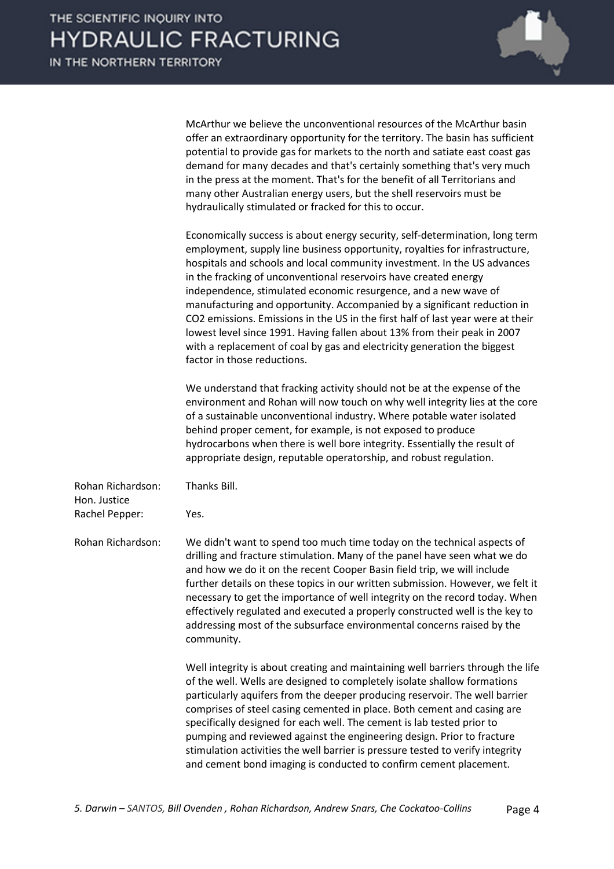

| McArthur we believe the unconventional resources of the McArthur basin         |
|--------------------------------------------------------------------------------|
| offer an extraordinary opportunity for the territory. The basin has sufficient |
| potential to provide gas for markets to the north and satiate east coast gas   |
| demand for many decades and that's certainly something that's very much        |
| in the press at the moment. That's for the benefit of all Territorians and     |
| many other Australian energy users, but the shell reservoirs must be           |
| hydraulically stimulated or fracked for this to occur.                         |

Economically success is about energy security, self-determination, long term employment, supply line business opportunity, royalties for infrastructure, hospitals and schools and local community investment. In the US advances in the fracking of unconventional reservoirs have created energy independence, stimulated economic resurgence, and a new wave of manufacturing and opportunity. Accompanied by a significant reduction in CO2 emissions. Emissions in the US in the first half of last year were at their lowest level since 1991. Having fallen about 13% from their peak in 2007 with a replacement of coal by gas and electricity generation the biggest factor in those reductions.

We understand that fracking activity should not be at the expense of the environment and Rohan will now touch on why well integrity lies at the core of a sustainable unconventional industry. Where potable water isolated behind proper cement, for example, is not exposed to produce hydrocarbons when there is well bore integrity. Essentially the result of appropriate design, reputable operatorship, and robust regulation.

Rohan Richardson: Thanks Bill. Hon. Justice Rachel Pepper: Yes. Rohan Richardson: We didn't want to spend too much time today on the technical aspects of drilling and fracture stimulation. Many of the panel have seen what we do and how we do it on the recent Cooper Basin field trip, we will include further details on these topics in our written submission. However, we felt it necessary to get the importance of well integrity on the record today. When effectively regulated and executed a properly constructed well is the key to addressing most of the subsurface environmental concerns raised by the community. Well integrity is about creating and maintaining well barriers through the life of the well. Wells are designed to completely isolate shallow formations particularly aquifers from the deeper producing reservoir. The well barrier comprises of steel casing cemented in place. Both cement and casing are specifically designed for each well. The cement is lab tested prior to

pumping and reviewed against the engineering design. Prior to fracture stimulation activities the well barrier is pressure tested to verify integrity and cement bond imaging is conducted to confirm cement placement.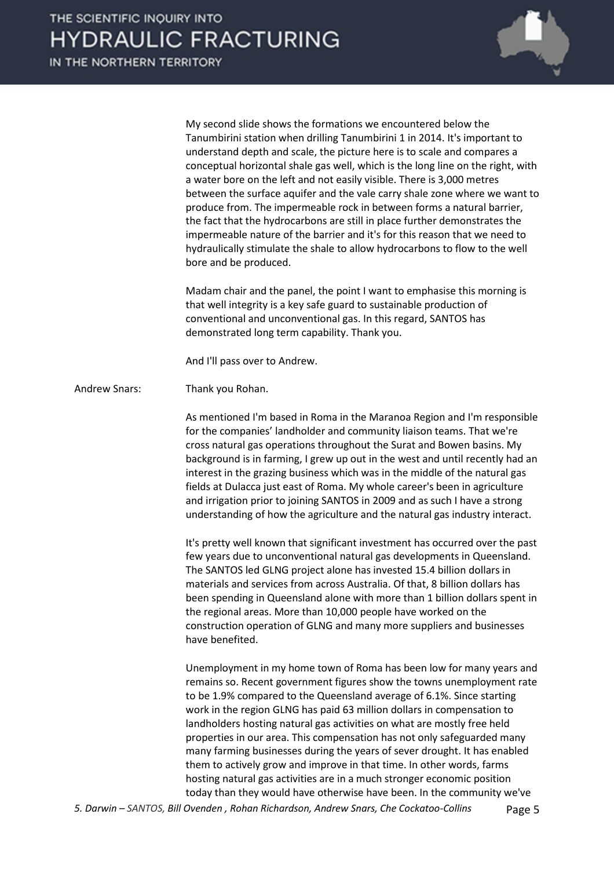|                      | My second slide shows the formations we encountered below the<br>Tanumbirini station when drilling Tanumbirini 1 in 2014. It's important to<br>understand depth and scale, the picture here is to scale and compares a<br>conceptual horizontal shale gas well, which is the long line on the right, with<br>a water bore on the left and not easily visible. There is 3,000 metres<br>between the surface aquifer and the vale carry shale zone where we want to<br>produce from. The impermeable rock in between forms a natural barrier,<br>the fact that the hydrocarbons are still in place further demonstrates the<br>impermeable nature of the barrier and it's for this reason that we need to<br>hydraulically stimulate the shale to allow hydrocarbons to flow to the well<br>bore and be produced. |
|----------------------|-----------------------------------------------------------------------------------------------------------------------------------------------------------------------------------------------------------------------------------------------------------------------------------------------------------------------------------------------------------------------------------------------------------------------------------------------------------------------------------------------------------------------------------------------------------------------------------------------------------------------------------------------------------------------------------------------------------------------------------------------------------------------------------------------------------------|
|                      | Madam chair and the panel, the point I want to emphasise this morning is<br>that well integrity is a key safe guard to sustainable production of<br>conventional and unconventional gas. In this regard, SANTOS has<br>demonstrated long term capability. Thank you.                                                                                                                                                                                                                                                                                                                                                                                                                                                                                                                                            |
|                      | And I'll pass over to Andrew.                                                                                                                                                                                                                                                                                                                                                                                                                                                                                                                                                                                                                                                                                                                                                                                   |
| <b>Andrew Snars:</b> | Thank you Rohan.                                                                                                                                                                                                                                                                                                                                                                                                                                                                                                                                                                                                                                                                                                                                                                                                |
|                      | As mentioned I'm based in Roma in the Maranoa Region and I'm responsible<br>for the companies' landholder and community liaison teams. That we're<br>cross natural gas operations throughout the Surat and Bowen basins. My<br>background is in farming, I grew up out in the west and until recently had an<br>interest in the grazing business which was in the middle of the natural gas<br>fields at Dulacca just east of Roma. My whole career's been in agriculture<br>and irrigation prior to joining SANTOS in 2009 and as such I have a strong<br>understanding of how the agriculture and the natural gas industry interact.                                                                                                                                                                          |
|                      | It's pretty well known that significant investment has occurred over the past<br>few years due to unconventional natural gas developments in Queensland.<br>The SANTOS led GLNG project alone has invested 15.4 billion dollars in<br>materials and services from across Australia. Of that, 8 billion dollars has<br>been spending in Queensland alone with more than 1 billion dollars spent in<br>the regional areas. More than 10,000 people have worked on the<br>construction operation of GLNG and many more suppliers and businesses<br>have benefited.                                                                                                                                                                                                                                                 |
|                      | Unemployment in my home town of Roma has been low for many years and<br>remains so. Recent government figures show the towns unemployment rate<br>to be 1.9% compared to the Queensland average of 6.1%. Since starting<br>work in the region GLNG has paid 63 million dollars in compensation to<br>landholders hosting natural gas activities on what are mostly free held<br>properties in our area. This compensation has not only safeguarded many<br>many farming businesses during the years of sever drought. It has enabled<br>them to actively grow and improve in that time. In other words, farms<br>hosting natural gas activities are in a much stronger economic position<br>today than they would have otherwise have been. In the community we've                                              |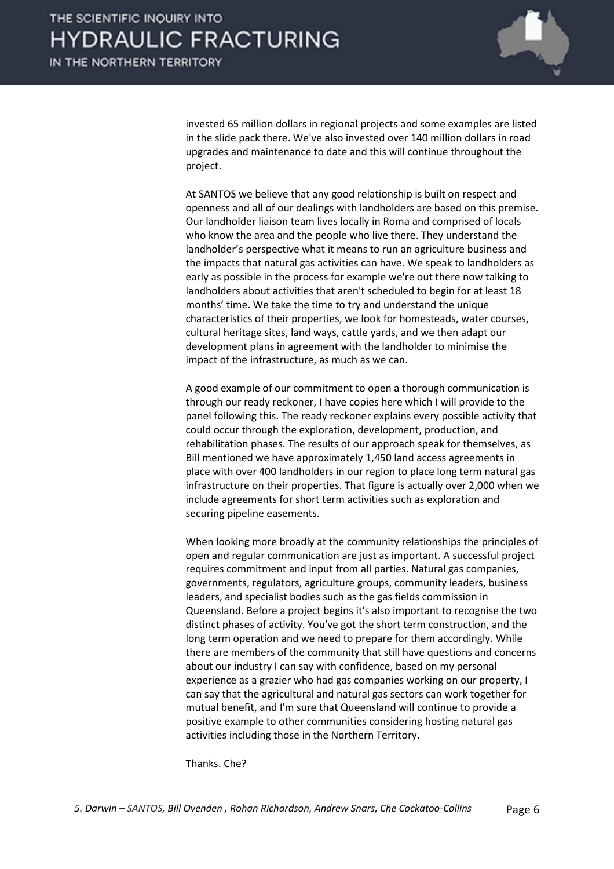

invested 65 million dollars in regional projects and some examples are listed in the slide pack there. We've also invested over 140 million dollars in road upgrades and maintenance to date and this will continue throughout the project.

At SANTOS we believe that any good relationship is built on respect and openness and all of our dealings with landholders are based on this premise. Our landholder liaison team lives locally in Roma and comprised of locals who know the area and the people who live there. They understand the landholder's perspective what it means to run an agriculture business and the impacts that natural gas activities can have. We speak to landholders as early as possible in the process for example we're out there now talking to landholders about activities that aren't scheduled to begin for at least 18 months' time. We take the time to try and understand the unique characteristics of their properties, we look for homesteads, water courses, cultural heritage sites, land ways, cattle yards, and we then adapt our development plans in agreement with the landholder to minimise the impact of the infrastructure, as much as we can.

A good example of our commitment to open a thorough communication is through our ready reckoner, I have copies here which I will provide to the panel following this. The ready reckoner explains every possible activity that could occur through the exploration, development, production, and rehabilitation phases. The results of our approach speak for themselves, as Bill mentioned we have approximately 1,450 land access agreements in place with over 400 landholders in our region to place long term natural gas infrastructure on their properties. That figure is actually over 2,000 when we include agreements for short term activities such as exploration and securing pipeline easements.

When looking more broadly at the community relationships the principles of open and regular communication are just as important. A successful project requires commitment and input from all parties. Natural gas companies, governments, regulators, agriculture groups, community leaders, business leaders, and specialist bodies such as the gas fields commission in Queensland. Before a project begins it's also important to recognise the two distinct phases of activity. You've got the short term construction, and the long term operation and we need to prepare for them accordingly. While there are members of the community that still have questions and concerns about our industry I can say with confidence, based on my personal experience as a grazier who had gas companies working on our property, I can say that the agricultural and natural gas sectors can work together for mutual benefit, and I'm sure that Queensland will continue to provide a positive example to other communities considering hosting natural gas activities including those in the Northern Territory.

Thanks. Che?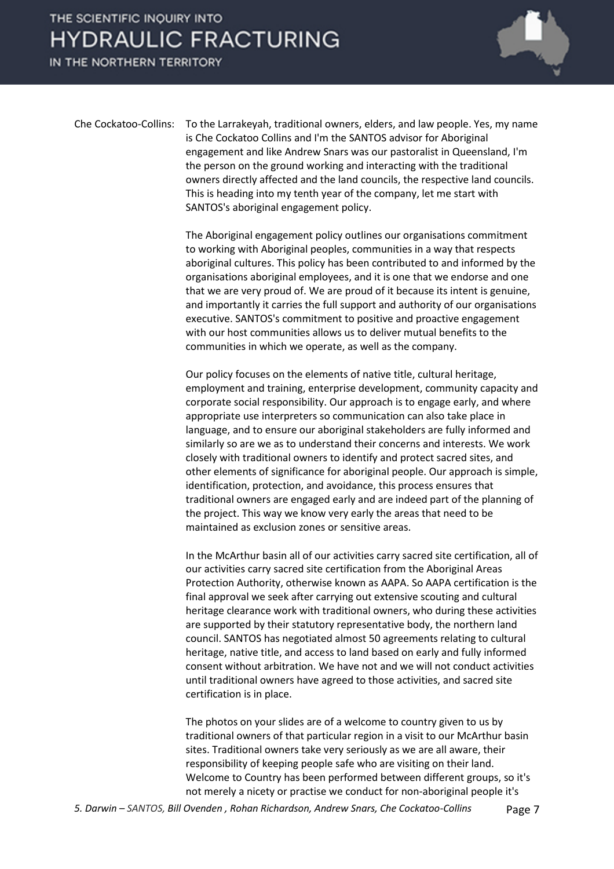IN THE NORTHERN TERRITORY



Che Cockatoo-Collins: To the Larrakeyah, traditional owners, elders, and law people. Yes, my name is Che Cockatoo Collins and I'm the SANTOS advisor for Aboriginal engagement and like Andrew Snars was our pastoralist in Queensland, I'm the person on the ground working and interacting with the traditional owners directly affected and the land councils, the respective land councils. This is heading into my tenth year of the company, let me start with SANTOS's aboriginal engagement policy.

> The Aboriginal engagement policy outlines our organisations commitment to working with Aboriginal peoples, communities in a way that respects aboriginal cultures. This policy has been contributed to and informed by the organisations aboriginal employees, and it is one that we endorse and one that we are very proud of. We are proud of it because its intent is genuine, and importantly it carries the full support and authority of our organisations executive. SANTOS's commitment to positive and proactive engagement with our host communities allows us to deliver mutual benefits to the communities in which we operate, as well as the company.

> Our policy focuses on the elements of native title, cultural heritage, employment and training, enterprise development, community capacity and corporate social responsibility. Our approach is to engage early, and where appropriate use interpreters so communication can also take place in language, and to ensure our aboriginal stakeholders are fully informed and similarly so are we as to understand their concerns and interests. We work closely with traditional owners to identify and protect sacred sites, and other elements of significance for aboriginal people. Our approach is simple, identification, protection, and avoidance, this process ensures that traditional owners are engaged early and are indeed part of the planning of the project. This way we know very early the areas that need to be maintained as exclusion zones or sensitive areas.

> In the McArthur basin all of our activities carry sacred site certification, all of our activities carry sacred site certification from the Aboriginal Areas Protection Authority, otherwise known as AAPA. So AAPA certification is the final approval we seek after carrying out extensive scouting and cultural heritage clearance work with traditional owners, who during these activities are supported by their statutory representative body, the northern land council. SANTOS has negotiated almost 50 agreements relating to cultural heritage, native title, and access to land based on early and fully informed consent without arbitration. We have not and we will not conduct activities until traditional owners have agreed to those activities, and sacred site certification is in place.

The photos on your slides are of a welcome to country given to us by traditional owners of that particular region in a visit to our McArthur basin sites. Traditional owners take very seriously as we are all aware, their responsibility of keeping people safe who are visiting on their land. Welcome to Country has been performed between different groups, so it's not merely a nicety or practise we conduct for non-aboriginal people it's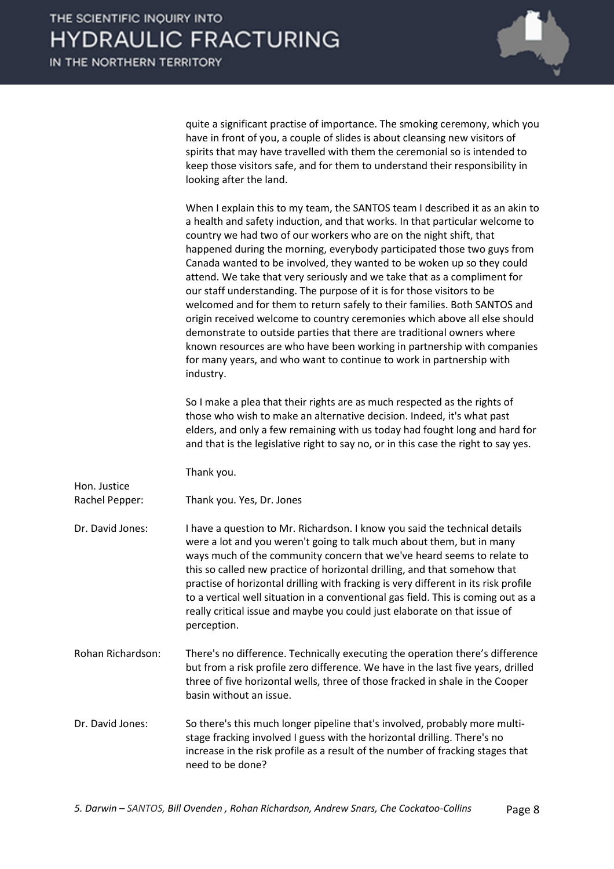

quite a significant practise of importance. The smoking ceremony, which you have in front of you, a couple of slides is about cleansing new visitors of spirits that may have travelled with them the ceremonial so is intended to keep those visitors safe, and for them to understand their responsibility in looking after the land.

When I explain this to my team, the SANTOS team I described it as an akin to a health and safety induction, and that works. In that particular welcome to country we had two of our workers who are on the night shift, that happened during the morning, everybody participated those two guys from Canada wanted to be involved, they wanted to be woken up so they could attend. We take that very seriously and we take that as a compliment for our staff understanding. The purpose of it is for those visitors to be welcomed and for them to return safely to their families. Both SANTOS and origin received welcome to country ceremonies which above all else should demonstrate to outside parties that there are traditional owners where known resources are who have been working in partnership with companies for many years, and who want to continue to work in partnership with industry.

So I make a plea that their rights are as much respected as the rights of those who wish to make an alternative decision. Indeed, it's what past elders, and only a few remaining with us today had fought long and hard for and that is the legislative right to say no, or in this case the right to say yes.

Thank you.

Rachel Pepper: Thank you. Yes, Dr. Jones

Hon. Justice

- Dr. David Jones: I have a question to Mr. Richardson. I know you said the technical details were a lot and you weren't going to talk much about them, but in many ways much of the community concern that we've heard seems to relate to this so called new practice of horizontal drilling, and that somehow that practise of horizontal drilling with fracking is very different in its risk profile to a vertical well situation in a conventional gas field. This is coming out as a really critical issue and maybe you could just elaborate on that issue of perception.
- Rohan Richardson: There's no difference. Technically executing the operation there's difference but from a risk profile zero difference. We have in the last five years, drilled three of five horizontal wells, three of those fracked in shale in the Cooper basin without an issue.
- Dr. David Jones: So there's this much longer pipeline that's involved, probably more multistage fracking involved I guess with the horizontal drilling. There's no increase in the risk profile as a result of the number of fracking stages that need to be done?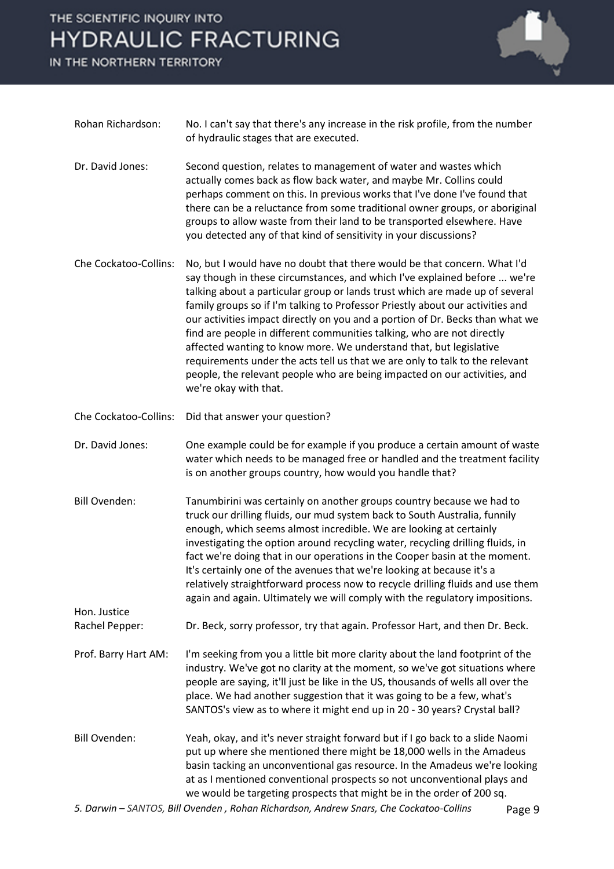IN THE NORTHERN TERRITORY



| Rohan Richardson:     | No. I can't say that there's any increase in the risk profile, from the number<br>of hydraulic stages that are executed.                                                                                                                                                                                                                                                                                                                                                                                                                                                                                                                                                                                                                       |
|-----------------------|------------------------------------------------------------------------------------------------------------------------------------------------------------------------------------------------------------------------------------------------------------------------------------------------------------------------------------------------------------------------------------------------------------------------------------------------------------------------------------------------------------------------------------------------------------------------------------------------------------------------------------------------------------------------------------------------------------------------------------------------|
| Dr. David Jones:      | Second question, relates to management of water and wastes which<br>actually comes back as flow back water, and maybe Mr. Collins could<br>perhaps comment on this. In previous works that I've done I've found that<br>there can be a reluctance from some traditional owner groups, or aboriginal<br>groups to allow waste from their land to be transported elsewhere. Have<br>you detected any of that kind of sensitivity in your discussions?                                                                                                                                                                                                                                                                                            |
| Che Cockatoo-Collins: | No, but I would have no doubt that there would be that concern. What I'd<br>say though in these circumstances, and which I've explained before  we're<br>talking about a particular group or lands trust which are made up of several<br>family groups so if I'm talking to Professor Priestly about our activities and<br>our activities impact directly on you and a portion of Dr. Becks than what we<br>find are people in different communities talking, who are not directly<br>affected wanting to know more. We understand that, but legislative<br>requirements under the acts tell us that we are only to talk to the relevant<br>people, the relevant people who are being impacted on our activities, and<br>we're okay with that. |
| Che Cockatoo-Collins: | Did that answer your question?                                                                                                                                                                                                                                                                                                                                                                                                                                                                                                                                                                                                                                                                                                                 |
| Dr. David Jones:      | One example could be for example if you produce a certain amount of waste<br>water which needs to be managed free or handled and the treatment facility<br>is on another groups country, how would you handle that?                                                                                                                                                                                                                                                                                                                                                                                                                                                                                                                            |
| <b>Bill Ovenden:</b>  | Tanumbirini was certainly on another groups country because we had to<br>truck our drilling fluids, our mud system back to South Australia, funnily<br>enough, which seems almost incredible. We are looking at certainly<br>investigating the option around recycling water, recycling drilling fluids, in<br>fact we're doing that in our operations in the Cooper basin at the moment.<br>It's certainly one of the avenues that we're looking at because it's a<br>relatively straightforward process now to recycle drilling fluids and use them<br>again and again. Ultimately we will comply with the regulatory impositions.                                                                                                           |
| Hon. Justice          |                                                                                                                                                                                                                                                                                                                                                                                                                                                                                                                                                                                                                                                                                                                                                |
| Rachel Pepper:        | Dr. Beck, sorry professor, try that again. Professor Hart, and then Dr. Beck.                                                                                                                                                                                                                                                                                                                                                                                                                                                                                                                                                                                                                                                                  |
| Prof. Barry Hart AM:  | I'm seeking from you a little bit more clarity about the land footprint of the<br>industry. We've got no clarity at the moment, so we've got situations where<br>people are saying, it'll just be like in the US, thousands of wells all over the<br>place. We had another suggestion that it was going to be a few, what's<br>SANTOS's view as to where it might end up in 20 - 30 years? Crystal ball?                                                                                                                                                                                                                                                                                                                                       |
| <b>Bill Ovenden:</b>  | Yeah, okay, and it's never straight forward but if I go back to a slide Naomi<br>put up where she mentioned there might be 18,000 wells in the Amadeus<br>basin tacking an unconventional gas resource. In the Amadeus we're looking<br>at as I mentioned conventional prospects so not unconventional plays and<br>we would be targeting prospects that might be in the order of 200 sq.                                                                                                                                                                                                                                                                                                                                                      |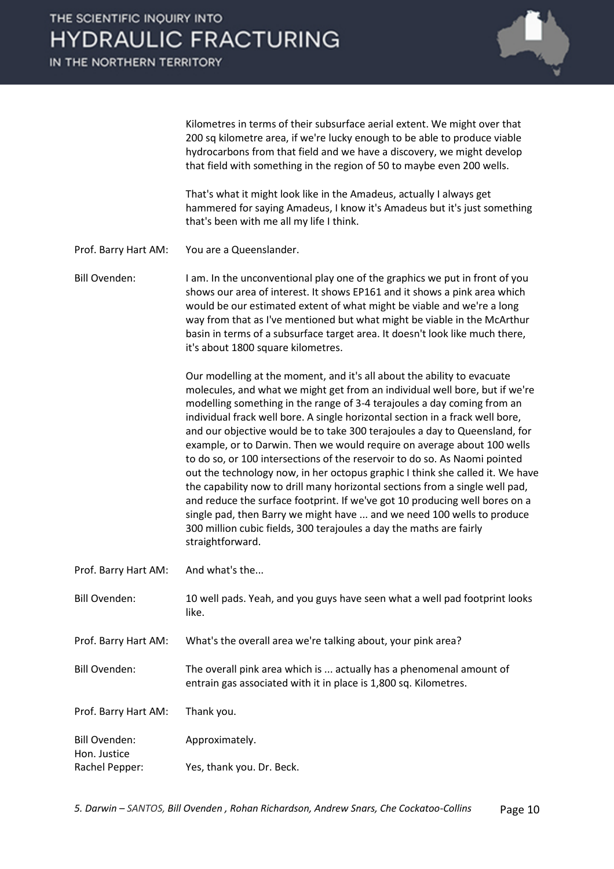

Kilometres in terms of their subsurface aerial extent. We might over that 200 sq kilometre area, if we're lucky enough to be able to produce viable hydrocarbons from that field and we have a discovery, we might develop that field with something in the region of 50 to maybe even 200 wells.

That's what it might look like in the Amadeus, actually I always get hammered for saying Amadeus, I know it's Amadeus but it's just something that's been with me all my life I think.

Prof. Barry Hart AM: You are a Queenslander.

Bill Ovenden: I am. In the unconventional play one of the graphics we put in front of you shows our area of interest. It shows EP161 and it shows a pink area which would be our estimated extent of what might be viable and we're a long way from that as I've mentioned but what might be viable in the McArthur basin in terms of a subsurface target area. It doesn't look like much there, it's about 1800 square kilometres.

> Our modelling at the moment, and it's all about the ability to evacuate molecules, and what we might get from an individual well bore, but if we're modelling something in the range of 3-4 terajoules a day coming from an individual frack well bore. A single horizontal section in a frack well bore, and our objective would be to take 300 terajoules a day to Queensland, for example, or to Darwin. Then we would require on average about 100 wells to do so, or 100 intersections of the reservoir to do so. As Naomi pointed out the technology now, in her octopus graphic I think she called it. We have the capability now to drill many horizontal sections from a single well pad, and reduce the surface footprint. If we've got 10 producing well bores on a single pad, then Barry we might have ... and we need 100 wells to produce 300 million cubic fields, 300 terajoules a day the maths are fairly straightforward.

- Prof. Barry Hart AM: And what's the...
- Bill Ovenden: 10 well pads. Yeah, and you guys have seen what a well pad footprint looks like.
- Prof. Barry Hart AM: What's the overall area we're talking about, your pink area?
- Bill Ovenden: The overall pink area which is ... actually has a phenomenal amount of entrain gas associated with it in place is 1,800 sq. Kilometres.

Prof. Barry Hart AM: Thank you.

Bill Ovenden: Approximately.

Hon. Justice

Rachel Pepper: Yes, thank you. Dr. Beck.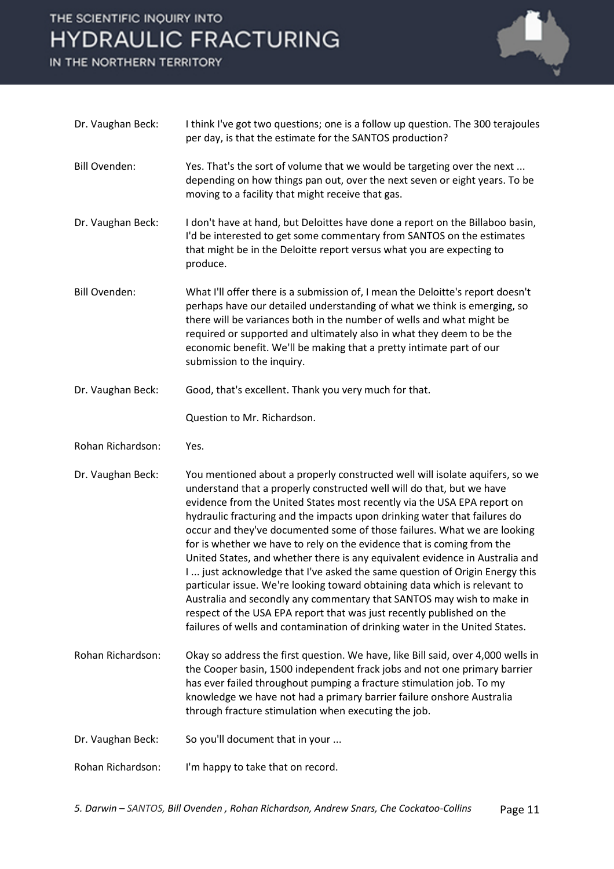IN THE NORTHERN TERRITORY



| Dr. Vaughan Beck:    | I think I've got two questions; one is a follow up question. The 300 terajoules<br>per day, is that the estimate for the SANTOS production?                                                                                                                                                                                                                                                                                                                                                                                                                                                                                                                                                                                                                                                                                                                                                                                                      |
|----------------------|--------------------------------------------------------------------------------------------------------------------------------------------------------------------------------------------------------------------------------------------------------------------------------------------------------------------------------------------------------------------------------------------------------------------------------------------------------------------------------------------------------------------------------------------------------------------------------------------------------------------------------------------------------------------------------------------------------------------------------------------------------------------------------------------------------------------------------------------------------------------------------------------------------------------------------------------------|
| <b>Bill Ovenden:</b> | Yes. That's the sort of volume that we would be targeting over the next<br>depending on how things pan out, over the next seven or eight years. To be<br>moving to a facility that might receive that gas.                                                                                                                                                                                                                                                                                                                                                                                                                                                                                                                                                                                                                                                                                                                                       |
| Dr. Vaughan Beck:    | I don't have at hand, but Deloittes have done a report on the Billaboo basin,<br>I'd be interested to get some commentary from SANTOS on the estimates<br>that might be in the Deloitte report versus what you are expecting to<br>produce.                                                                                                                                                                                                                                                                                                                                                                                                                                                                                                                                                                                                                                                                                                      |
| <b>Bill Ovenden:</b> | What I'll offer there is a submission of, I mean the Deloitte's report doesn't<br>perhaps have our detailed understanding of what we think is emerging, so<br>there will be variances both in the number of wells and what might be<br>required or supported and ultimately also in what they deem to be the<br>economic benefit. We'll be making that a pretty intimate part of our<br>submission to the inquiry.                                                                                                                                                                                                                                                                                                                                                                                                                                                                                                                               |
| Dr. Vaughan Beck:    | Good, that's excellent. Thank you very much for that.                                                                                                                                                                                                                                                                                                                                                                                                                                                                                                                                                                                                                                                                                                                                                                                                                                                                                            |
|                      | Question to Mr. Richardson.                                                                                                                                                                                                                                                                                                                                                                                                                                                                                                                                                                                                                                                                                                                                                                                                                                                                                                                      |
| Rohan Richardson:    | Yes.                                                                                                                                                                                                                                                                                                                                                                                                                                                                                                                                                                                                                                                                                                                                                                                                                                                                                                                                             |
| Dr. Vaughan Beck:    | You mentioned about a properly constructed well will isolate aquifers, so we<br>understand that a properly constructed well will do that, but we have<br>evidence from the United States most recently via the USA EPA report on<br>hydraulic fracturing and the impacts upon drinking water that failures do<br>occur and they've documented some of those failures. What we are looking<br>for is whether we have to rely on the evidence that is coming from the<br>United States, and whether there is any equivalent evidence in Australia and<br>I just acknowledge that I've asked the same question of Origin Energy this<br>particular issue. We're looking toward obtaining data which is relevant to<br>Australia and secondly any commentary that SANTOS may wish to make in<br>respect of the USA EPA report that was just recently published on the<br>failures of wells and contamination of drinking water in the United States. |
| Rohan Richardson:    | Okay so address the first question. We have, like Bill said, over 4,000 wells in<br>the Cooper basin, 1500 independent frack jobs and not one primary barrier<br>has ever failed throughout pumping a fracture stimulation job. To my<br>knowledge we have not had a primary barrier failure onshore Australia<br>through fracture stimulation when executing the job.                                                                                                                                                                                                                                                                                                                                                                                                                                                                                                                                                                           |
| Dr. Vaughan Beck:    | So you'll document that in your                                                                                                                                                                                                                                                                                                                                                                                                                                                                                                                                                                                                                                                                                                                                                                                                                                                                                                                  |
|                      |                                                                                                                                                                                                                                                                                                                                                                                                                                                                                                                                                                                                                                                                                                                                                                                                                                                                                                                                                  |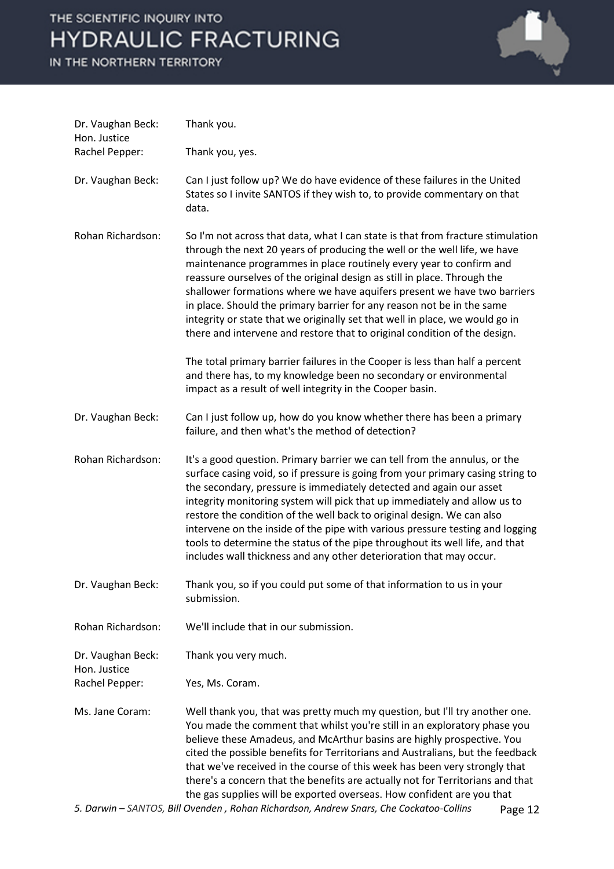IN THE NORTHERN TERRITORY

| <b>SCIENTIFIC INQUIRY INTO</b><br>YDRAULIC FRACTURING<br>HE NORTHERN TERRITORY |                                                                                                                                                                                                                                                                                                                                                                                                                                                                                                                                                                                                                                    |  |
|--------------------------------------------------------------------------------|------------------------------------------------------------------------------------------------------------------------------------------------------------------------------------------------------------------------------------------------------------------------------------------------------------------------------------------------------------------------------------------------------------------------------------------------------------------------------------------------------------------------------------------------------------------------------------------------------------------------------------|--|
| Dr. Vaughan Beck:                                                              | Thank you.                                                                                                                                                                                                                                                                                                                                                                                                                                                                                                                                                                                                                         |  |
| Hon. Justice<br>Rachel Pepper:                                                 | Thank you, yes.                                                                                                                                                                                                                                                                                                                                                                                                                                                                                                                                                                                                                    |  |
| Dr. Vaughan Beck:                                                              | Can I just follow up? We do have evidence of these failures in the United<br>States so I invite SANTOS if they wish to, to provide commentary on that<br>data.                                                                                                                                                                                                                                                                                                                                                                                                                                                                     |  |
| Rohan Richardson:                                                              | So I'm not across that data, what I can state is that from fracture stimulation<br>through the next 20 years of producing the well or the well life, we have<br>maintenance programmes in place routinely every year to confirm and<br>reassure ourselves of the original design as still in place. Through the<br>shallower formations where we have aquifers present we have two barriers<br>in place. Should the primary barrier for any reason not be in the same<br>integrity or state that we originally set that well in place, we would go in<br>there and intervene and restore that to original condition of the design. |  |
|                                                                                | The total primary barrier failures in the Cooper is less than half a percent<br>and there has, to my knowledge been no secondary or environmental<br>impact as a result of well integrity in the Cooper basin.                                                                                                                                                                                                                                                                                                                                                                                                                     |  |
| Dr. Vaughan Beck:                                                              | Can I just follow up, how do you know whether there has been a primary<br>failure, and then what's the method of detection?                                                                                                                                                                                                                                                                                                                                                                                                                                                                                                        |  |
| Rohan Richardson:                                                              | It's a good question. Primary barrier we can tell from the annulus, or the<br>surface casing void, so if pressure is going from your primary casing string to<br>the secondary, pressure is immediately detected and again our asset<br>integrity monitoring system will pick that up immediately and allow us to<br>restore the condition of the well back to original design. We can also                                                                                                                                                                                                                                        |  |

restore the condition intervene on the inside of the pipe with various pressure testing and logging tools to determine the status of the pipe throughout its well life, and that includes wall thickness and any other deterioration that may occur.

Dr. Vaughan Beck: Thank you, so if you could put some of that information to us in your submission.

Rohan Richardson: We'll include that in our submission.

Dr. Vaughan Beck: Thank you very much.

Rachel Pepper: Yes, Ms. Coram.

Hon. Justice

Ms. Jane Coram: Well thank you, that was pretty much my question, but I'll try another one. You made the comment that whilst you're still in an exploratory phase you believe these Amadeus, and McArthur basins are highly prospective. You cited the possible benefits for Territorians and Australians, but the feedback that we've received in the course of this week has been very strongly that there's a concern that the benefits are actually not for Territorians and that the gas supplies will be exported overseas. How confident are you that